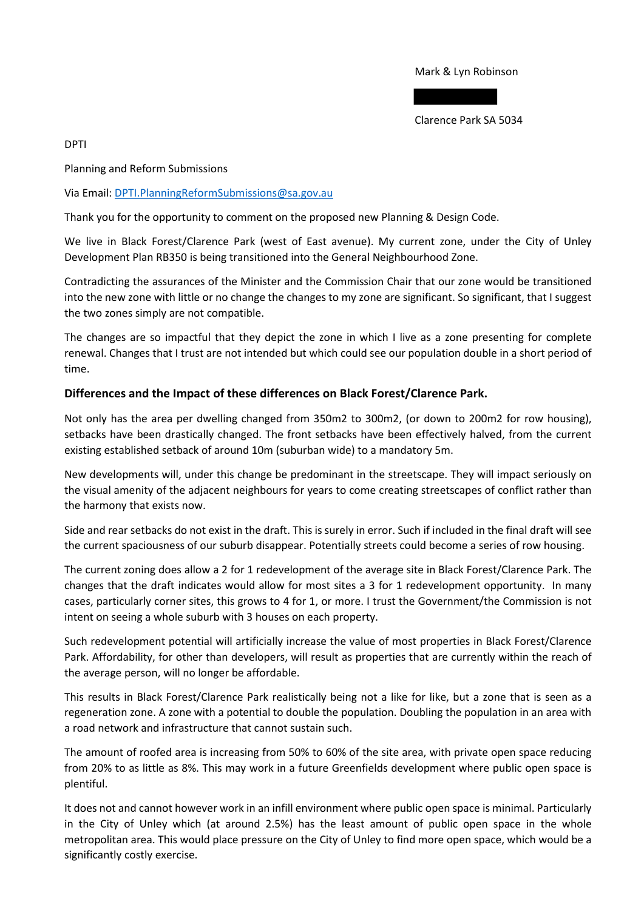Mark & Lyn Robinson

Clarence Park SA 5034

DPTI

Planning and Reform Submissions

Via Email: [DPTI.PlanningReformSubmissions@sa.gov.au](mailto:DPTI.PlanningReformSubmissions@sa.gov.au)

Thank you for the opportunity to comment on the proposed new Planning & Design Code.

We live in Black Forest/Clarence Park (west of East avenue). My current zone, under the City of Unley Development Plan RB350 is being transitioned into the General Neighbourhood Zone.

Contradicting the assurances of the Minister and the Commission Chair that our zone would be transitioned into the new zone with little or no change the changes to my zone are significant. So significant, that I suggest the two zones simply are not compatible.

The changes are so impactful that they depict the zone in which I live as a zone presenting for complete renewal. Changes that I trust are not intended but which could see our population double in a short period of time.

## **Differences and the Impact of these differences on Black Forest/Clarence Park.**

Not only has the area per dwelling changed from 350m2 to 300m2, (or down to 200m2 for row housing), setbacks have been drastically changed. The front setbacks have been effectively halved, from the current existing established setback of around 10m (suburban wide) to a mandatory 5m.

New developments will, under this change be predominant in the streetscape. They will impact seriously on the visual amenity of the adjacent neighbours for years to come creating streetscapes of conflict rather than the harmony that exists now.

Side and rear setbacks do not exist in the draft. This is surely in error. Such if included in the final draft will see the current spaciousness of our suburb disappear. Potentially streets could become a series of row housing.

The current zoning does allow a 2 for 1 redevelopment of the average site in Black Forest/Clarence Park. The changes that the draft indicates would allow for most sites a 3 for 1 redevelopment opportunity. In many cases, particularly corner sites, this grows to 4 for 1, or more. I trust the Government/the Commission is not intent on seeing a whole suburb with 3 houses on each property.

Such redevelopment potential will artificially increase the value of most properties in Black Forest/Clarence Park. Affordability, for other than developers, will result as properties that are currently within the reach of the average person, will no longer be affordable.

This results in Black Forest/Clarence Park realistically being not a like for like, but a zone that is seen as a regeneration zone. A zone with a potential to double the population. Doubling the population in an area with a road network and infrastructure that cannot sustain such.

The amount of roofed area is increasing from 50% to 60% of the site area, with private open space reducing from 20% to as little as 8%. This may work in a future Greenfields development where public open space is plentiful.

It does not and cannot however work in an infill environment where public open space is minimal. Particularly in the City of Unley which (at around 2.5%) has the least amount of public open space in the whole metropolitan area. This would place pressure on the City of Unley to find more open space, which would be a significantly costly exercise.